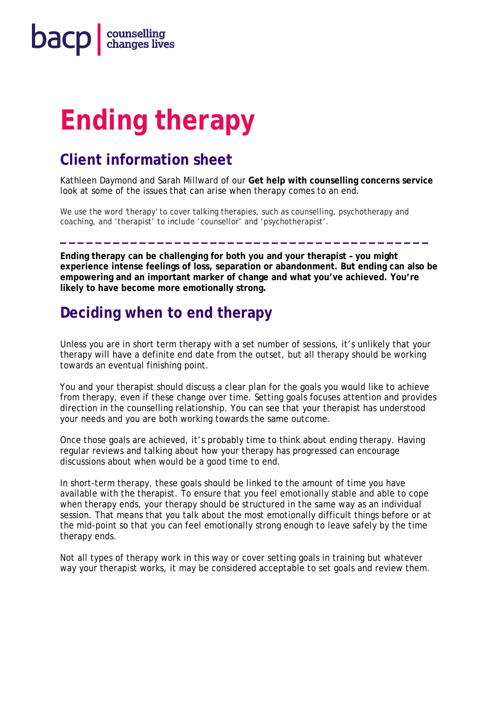

# **Ending therapy**

## **Client information sheet**

Kathleen Daymond and Sarah Millward of our **Get help with counselling concerns service** look at some of the issues that can arise when therapy comes to an end.

We use the word 'therapy' to cover talking therapies, such as counselling, psychotherapy and coaching, and 'therapist' to include 'counsellor' and 'psychotherapist'.

**Ending therapy can be challenging for both you and your therapist – you might experience intense feelings of loss, separation or abandonment. But ending can also be empowering and an important marker of change and what you've achieved. You're likely to have become more emotionally strong.** 

**\_\_\_\_\_\_\_\_\_\_\_\_\_\_\_\_\_\_\_\_\_\_\_\_\_\_\_\_\_\_\_\_\_\_\_\_\_\_\_\_\_\_**

## **Deciding when to end therapy**

Unless you are in short term therapy with a set number of sessions, it's unlikely that your therapy will have a definite end date from the outset, but all therapy should be working towards an eventual finishing point.

You and your therapist should discuss a clear plan for the goals you would like to achieve from therapy, even if these change over time. Setting goals focuses attention and provides direction in the counselling relationship. You can see that your therapist has understood your needs and you are both working towards the same outcome.

Once those goals are achieved, it's probably time to think about ending therapy. Having regular reviews and talking about how your therapy has progressed can encourage discussions about when would be a good time to end.

In short-term therapy, these goals should be linked to the amount of time you have available with the therapist. To ensure that you feel emotionally stable and able to cope when therapy ends, your therapy should be structured in the same way as an individual session. That means that you talk about the most emotionally difficult things before or at the mid-point so that you can feel emotionally strong enough to leave safely by the time therapy ends.

Not all types of therapy work in this way or cover setting goals in training but whatever way your therapist works, it may be considered acceptable to set goals and review them.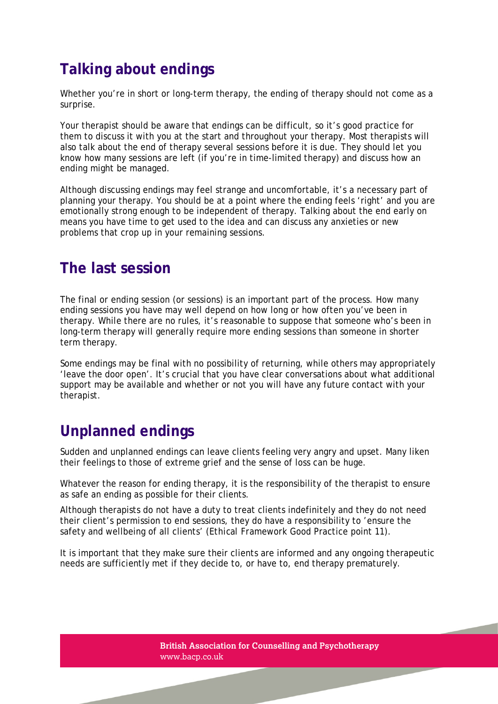# **Talking about endings**

Whether you're in short or long-term therapy, the ending of therapy should not come as a surprise.

Your therapist should be aware that endings can be difficult, so it's good practice for them to discuss it with you at the start and throughout your therapy. Most therapists will also talk about the end of therapy several sessions before it is due. They should let you know how many sessions are left (if you're in time-limited therapy) and discuss how an ending might be managed.

Although discussing endings may feel strange and uncomfortable, it's a necessary part of planning your therapy. You should be at a point where the ending feels 'right' and you are emotionally strong enough to be independent of therapy. Talking about the end early on means you have time to get used to the idea and can discuss any anxieties or new problems that crop up in your remaining sessions.

#### **The last session**

The final or ending session (or sessions) is an important part of the process. How many ending sessions you have may well depend on how long or how often you've been in therapy. While there are no rules, it's reasonable to suppose that someone who's been in long-term therapy will generally require more ending sessions than someone in shorter term therapy.

Some endings may be final with no possibility of returning, while others may appropriately 'leave the door open'. It's crucial that you have clear conversations about what additional support may be available and whether or not you will have any future contact with your therapist.

## **Unplanned endings**

Sudden and unplanned endings can leave clients feeling very angry and upset. Many liken their feelings to those of extreme grief and the sense of loss can be huge.

Whatever the reason for ending therapy, it is the responsibility of the therapist to ensure as safe an ending as possible for their clients.

Although therapists do not have a duty to treat clients indefinitely and they do not need their client's permission to end sessions, they do have a responsibility to 'ensure the safety and wellbeing of all clients' (*Ethical Framework* Good Practice point 11).

It is important that they make sure their clients are informed and any ongoing therapeutic needs are sufficiently met if they decide to, or have to, end therapy prematurely.

2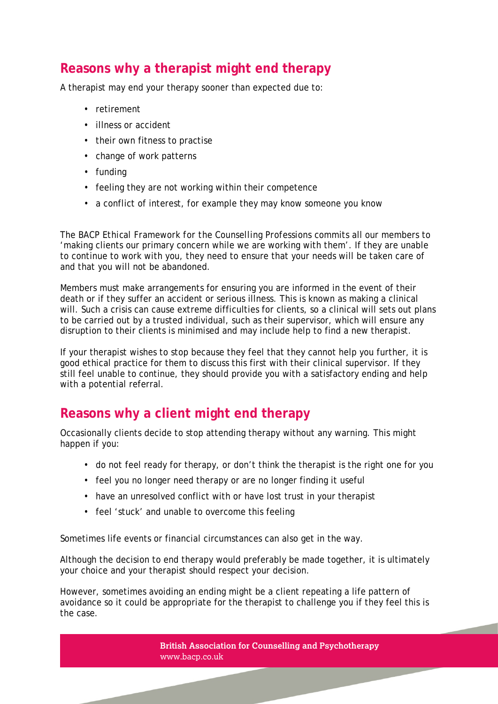#### **Reasons why a therapist might end therapy**

A therapist may end your therapy sooner than expected due to:

- retirement
- illness or accident
- their own fitness to practise
- change of work patterns
- funding
- feeling they are not working within their competence
- a conflict of interest, for example they may know someone you know

The *BACP Ethical Framework for the Counselling Professions* commits all our members to 'making clients our primary concern while we are working with them'. If they are unable to continue to work with you, they need to ensure that your needs will be taken care of and that you will not be abandoned.

Members must make arrangements for ensuring you are informed in the event of their death or if they suffer an accident or serious illness. This is known as making a clinical will. Such a crisis can cause extreme difficulties for clients, so a clinical will sets out plans to be carried out by a trusted individual, such as their supervisor, which will ensure any disruption to their clients is minimised and may include help to find a new therapist.

If your therapist wishes to stop because they feel that they cannot help you further, it is good ethical practice for them to discuss this first with their clinical supervisor. If they still feel unable to continue, they should provide you with a satisfactory ending and help with a potential referral.  

#### **Reasons why a client might end therapy**

Occasionally clients decide to stop attending therapy without any warning. This might happen if you:

- do not feel ready for therapy, or don't think the therapist is the right one for you
- feel you no longer need therapy or are no longer finding it useful
- have an unresolved conflict with or have lost trust in your therapist
- feel 'stuck' and unable to overcome this feeling

Sometimes life events or financial circumstances can also get in the way.

Although the decision to end therapy would preferably be made together, it is ultimately your choice and your therapist should respect your decision.

However, sometimes avoiding an ending might be a client repeating a life pattern of avoidance so it could be appropriate for the therapist to challenge you if they feel this is the case.

> **British Association for Counselling and Psychotherapy** www.bacp.co.uk

> > 3